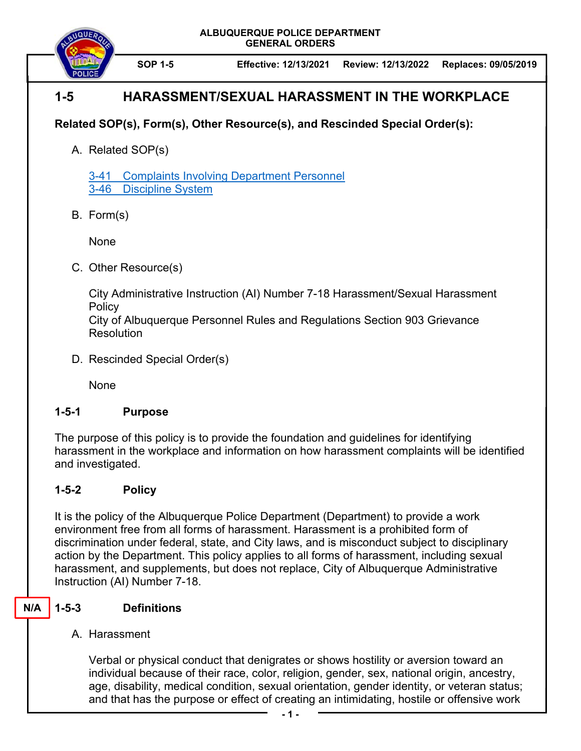**ALBUQUERQUE POLICE DEPARTMENT GENERAL ORDERS** 



**SOP 1-5 Effective: 12/13/2021 Review: 12/13/2022 Replaces: 09/05/2019** 

# **1-5 HARASSMENT/SEXUAL HARASSMENT IN THE WORKPLACE**

## **Related SOP(s), Form(s), Other Resource(s), and Rescinded Special Order(s):**

A. Related SOP(s)

3-41 Complaints Involving Department Personnel 3-46 Discipline System

B. Form(s)

None

C. Other Resource(s)

City Administrative Instruction (AI) Number 7-18 Harassment/Sexual Harassment **Policy** 

City of Albuquerque Personnel Rules and Regulations Section 903 Grievance **Resolution** 

D. Rescinded Special Order(s)

None

#### **1-5-1 Purpose**

The purpose of this policy is to provide the foundation and guidelines for identifying harassment in the workplace and information on how harassment complaints will be identified and investigated.

### **1-5-2 Policy**

It is the policy of the Albuquerque Police Department (Department) to provide a work environment free from all forms of harassment. Harassment is a prohibited form of discrimination under federal, state, and City laws, and is misconduct subject to disciplinary action by the Department. This policy applies to all forms of harassment, including sexual harassment, and supplements, but does not replace, City of Albuquerque Administrative Instruction (AI) Number 7-18.

#### **1-5-3 Definitions N/A**

### A. Harassment

Verbal or physical conduct that denigrates or shows hostility or aversion toward an individual because of their race, color, religion, gender, sex, national origin, ancestry, age, disability, medical condition, sexual orientation, gender identity, or veteran status; and that has the purpose or effect of creating an intimidating, hostile or offensive work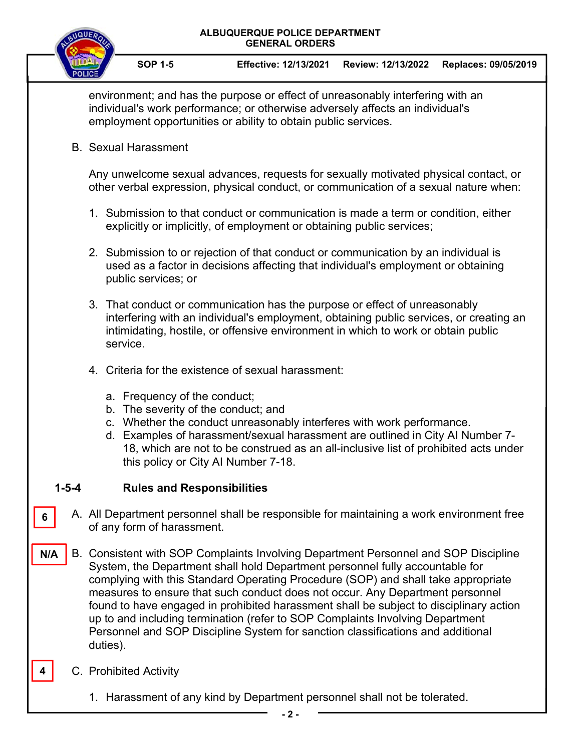



environment; and has the purpose or effect of unreasonably interfering with an individual's work performance; or otherwise adversely affects an individual's employment opportunities or ability to obtain public services.

B. Sexual Harassment

Any unwelcome sexual advances, requests for sexually motivated physical contact, or other verbal expression, physical conduct, or communication of a sexual nature when:

- 1. Submission to that conduct or communication is made a term or condition, either explicitly or implicitly, of employment or obtaining public services;
- 2. Submission to or rejection of that conduct or communication by an individual is used as a factor in decisions affecting that individual's employment or obtaining public services; or
- 3. That conduct or communication has the purpose or effect of unreasonably interfering with an individual's employment, obtaining public services, or creating an intimidating, hostile, or offensive environment in which to work or obtain public service.
- 4. Criteria for the existence of sexual harassment:
	- a. Frequency of the conduct;
	- b. The severity of the conduct; and
	- c. Whether the conduct unreasonably interferes with work performance.
	- d. Examples of harassment/sexual harassment are outlined in City AI Number 7- 18, which are not to be construed as an all-inclusive list of prohibited acts under this policy or City AI Number 7-18.

#### **1-5-4 Rules and Responsibilities**

- A. All Department personnel shall be responsible for maintaining a work environment free of any form of harassment.
- B. Consistent with SOP Complaints Involving Department Personnel and SOP Discipline System, the Department shall hold Department personnel fully accountable for complying with this Standard Operating Procedure (SOP) and shall take appropriate measures to ensure that such conduct does not occur. Any Department personnel found to have engaged in prohibited harassment shall be subject to disciplinary action up to and including termination (refer to SOP Complaints Involving Department Personnel and SOP Discipline System for sanction classifications and additional duties). **N/A**
- C. Prohibited Activity **4**

**6** 

1. Harassment of any kind by Department personnel shall not be tolerated.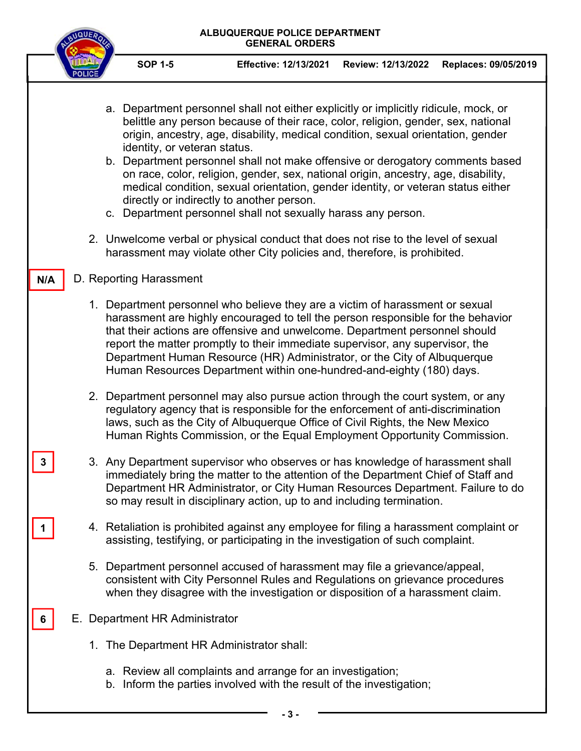#### **ALBUQUERQUE POLICE DEPARTMENT GENERAL ORDERS**



- **SOP 1-5 Effective: 12/13/2021 Review: 12/13/2022 Replaces: 09/05/2019**
- a. Department personnel shall not either explicitly or implicitly ridicule, mock, or belittle any person because of their race, color, religion, gender, sex, national origin, ancestry, age, disability, medical condition, sexual orientation, gender identity, or veteran status.
- b. Department personnel shall not make offensive or derogatory comments based on race, color, religion, gender, sex, national origin, ancestry, age, disability, medical condition, sexual orientation, gender identity, or veteran status either directly or indirectly to another person.
- c. Department personnel shall not sexually harass any person.
- 2. Unwelcome verbal or physical conduct that does not rise to the level of sexual harassment may violate other City policies and, therefore, is prohibited.

#### D. Reporting Harassment

**3** 

**1** 

**6** 

**N/A** 

- 1. Department personnel who believe they are a victim of harassment or sexual harassment are highly encouraged to tell the person responsible for the behavior that their actions are offensive and unwelcome. Department personnel should report the matter promptly to their immediate supervisor, any supervisor, the Department Human Resource (HR) Administrator, or the City of Albuquerque Human Resources Department within one-hundred-and-eighty (180) days.
- 2. Department personnel may also pursue action through the court system, or any regulatory agency that is responsible for the enforcement of anti-discrimination laws, such as the City of Albuquerque Office of Civil Rights, the New Mexico Human Rights Commission, or the Equal Employment Opportunity Commission.
- 3. Any Department supervisor who observes or has knowledge of harassment shall immediately bring the matter to the attention of the Department Chief of Staff and Department HR Administrator, or City Human Resources Department. Failure to do so may result in disciplinary action, up to and including termination.
- 4. Retaliation is prohibited against any employee for filing a harassment complaint or assisting, testifying, or participating in the investigation of such complaint.
- 5. Department personnel accused of harassment may file a grievance/appeal, consistent with City Personnel Rules and Regulations on grievance procedures when they disagree with the investigation or disposition of a harassment claim.
- E. Department HR Administrator
	- 1. The Department HR Administrator shall:
		- a. Review all complaints and arrange for an investigation;
		- b. Inform the parties involved with the result of the investigation;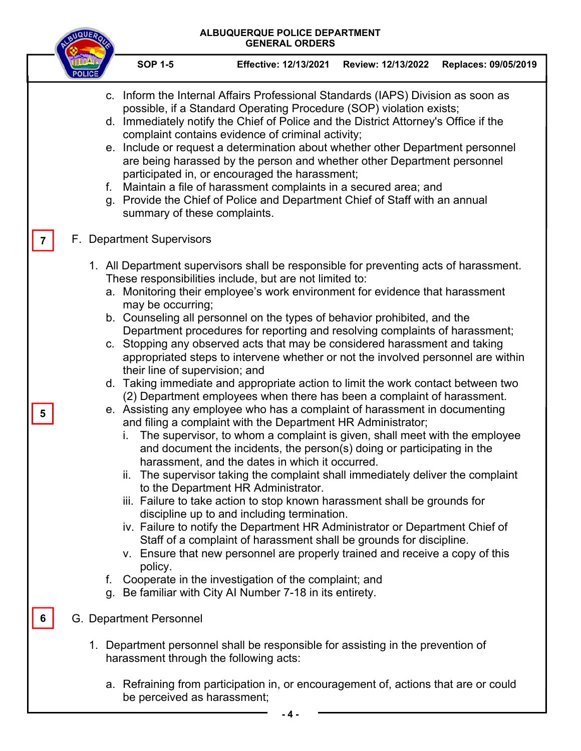#### **ALBUQUERQUE POLICE DEPARTMENT GENERAL ORDERS**